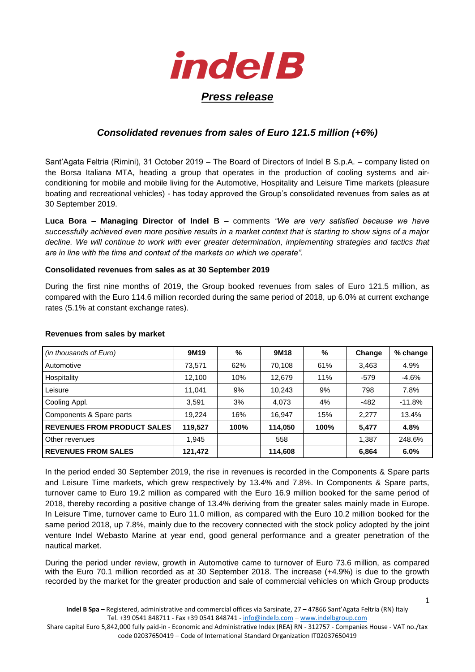

## *Consolidated revenues from sales of Euro 121.5 million (+6%)*

Sant'Agata Feltria (Rimini), 31 October 2019 – The Board of Directors of Indel B S.p.A. – company listed on the Borsa Italiana MTA, heading a group that operates in the production of cooling systems and airconditioning for mobile and mobile living for the Automotive, Hospitality and Leisure Time markets (pleasure boating and recreational vehicles) - has today approved the Group's consolidated revenues from sales as at 30 September 2019.

**Luca Bora – Managing Director of Indel B** – comments *"We are very satisfied because we have successfully achieved even more positive results in a market context that is starting to show signs of a major decline. We will continue to work with ever greater determination, implementing strategies and tactics that are in line with the time and context of the markets on which we operate".* 

## **Consolidated revenues from sales as at 30 September 2019**

During the first nine months of 2019, the Group booked revenues from sales of Euro 121.5 million, as compared with the Euro 114.6 million recorded during the same period of 2018, up 6.0% at current exchange rates (5.1% at constant exchange rates).

| (in thousands of Euro)             | 9M19    | %    | 9M18    | %    | Change | % change |
|------------------------------------|---------|------|---------|------|--------|----------|
| Automotive                         | 73,571  | 62%  | 70,108  | 61%  | 3,463  | 4.9%     |
| Hospitality                        | 12,100  | 10%  | 12,679  | 11%  | $-579$ | $-4.6%$  |
| Leisure                            | 11,041  | 9%   | 10,243  | 9%   | 798    | 7.8%     |
| Cooling Appl.                      | 3.591   | 3%   | 4.073   | 4%   | $-482$ | $-11.8%$ |
| Components & Spare parts           | 19.224  | 16%  | 16.947  | 15%  | 2,277  | 13.4%    |
| <b>REVENUES FROM PRODUCT SALES</b> | 119,527 | 100% | 114,050 | 100% | 5,477  | 4.8%     |
| Other revenues                     | 1,945   |      | 558     |      | 1.387  | 248.6%   |
| <b>REVENUES FROM SALES</b>         | 121,472 |      | 114,608 |      | 6,864  | 6.0%     |

## **Revenues from sales by market**

In the period ended 30 September 2019, the rise in revenues is recorded in the Components & Spare parts and Leisure Time markets, which grew respectively by 13.4% and 7.8%. In Components & Spare parts, turnover came to Euro 19.2 million as compared with the Euro 16.9 million booked for the same period of 2018, thereby recording a positive change of 13.4% deriving from the greater sales mainly made in Europe. In Leisure Time, turnover came to Euro 11.0 million, as compared with the Euro 10.2 million booked for the same period 2018, up 7.8%, mainly due to the recovery connected with the stock policy adopted by the joint venture Indel Webasto Marine at year end, good general performance and a greater penetration of the nautical market.

During the period under review, growth in Automotive came to turnover of Euro 73.6 million, as compared with the Euro 70.1 million recorded as at 30 September 2018. The increase (+4.9%) is due to the growth recorded by the market for the greater production and sale of commercial vehicles on which Group products

Share capital Euro 5,842,000 fully paid-in - Economic and Administrative Index (REA) RN - 312757 - Companies House - VAT no./tax code 02037650419 – Code of International Standard Organization IT02037650419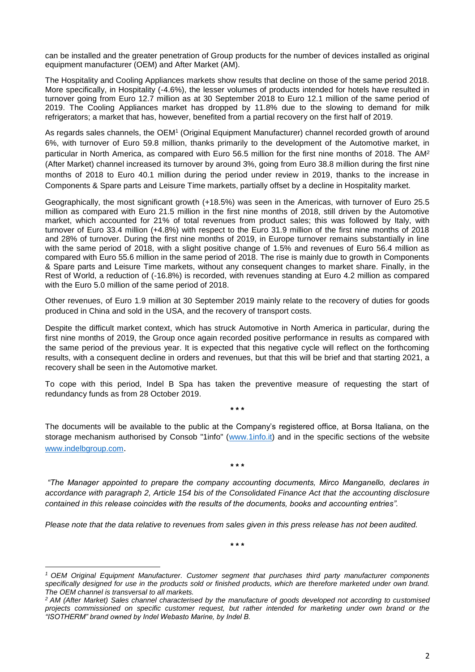can be installed and the greater penetration of Group products for the number of devices installed as original equipment manufacturer (OEM) and After Market (AM).

The Hospitality and Cooling Appliances markets show results that decline on those of the same period 2018. More specifically, in Hospitality (-4.6%), the lesser volumes of products intended for hotels have resulted in turnover going from Euro 12.7 million as at 30 September 2018 to Euro 12.1 million of the same period of 2019. The Cooling Appliances market has dropped by 11.8% due to the slowing to demand for milk refrigerators; a market that has, however, benefited from a partial recovery on the first half of 2019.

As regards sales channels, the OEM<sup>1</sup> (Original Equipment Manufacturer) channel recorded growth of around 6%, with turnover of Euro 59.8 million, thanks primarily to the development of the Automotive market, in particular in North America, as compared with Euro 56.5 million for the first nine months of 2018. The AM<sup>2</sup> (After Market) channel increased its turnover by around 3%, going from Euro 38.8 million during the first nine months of 2018 to Euro 40.1 million during the period under review in 2019, thanks to the increase in Components & Spare parts and Leisure Time markets, partially offset by a decline in Hospitality market.

Geographically, the most significant growth (+18.5%) was seen in the Americas, with turnover of Euro 25.5 million as compared with Euro 21.5 million in the first nine months of 2018, still driven by the Automotive market, which accounted for 21% of total revenues from product sales; this was followed by Italy, with turnover of Euro 33.4 million (+4.8%) with respect to the Euro 31.9 million of the first nine months of 2018 and 28% of turnover. During the first nine months of 2019, in Europe turnover remains substantially in line with the same period of 2018, with a slight positive change of 1.5% and revenues of Euro 56.4 million as compared with Euro 55.6 million in the same period of 2018. The rise is mainly due to growth in Components & Spare parts and Leisure Time markets, without any consequent changes to market share. Finally, in the Rest of World, a reduction of (-16.8%) is recorded, with revenues standing at Euro 4.2 million as compared with the Euro 5.0 million of the same period of 2018.

Other revenues, of Euro 1.9 million at 30 September 2019 mainly relate to the recovery of duties for goods produced in China and sold in the USA, and the recovery of transport costs.

Despite the difficult market context, which has struck Automotive in North America in particular, during the first nine months of 2019, the Group once again recorded positive performance in results as compared with the same period of the previous year. It is expected that this negative cycle will reflect on the forthcoming results, with a consequent decline in orders and revenues, but that this will be brief and that starting 2021, a recovery shall be seen in the Automotive market.

To cope with this period, Indel B Spa has taken the preventive measure of requesting the start of redundancy funds as from 28 October 2019.

**\* \* \***

The documents will be available to the public at the Company's registered office, at Borsa Italiana, on the storage mechanism authorised by Consob "1info" [\(www.1info.it\)](http://www.1info.it/) and in the specific sections of the website <www.indelbgroup.com>.

**\* \* \***

*"The Manager appointed to prepare the company accounting documents, Mirco Manganello, declares in accordance with paragraph 2, Article 154 bis of the Consolidated Finance Act that the accounting disclosure contained in this release coincides with the results of the documents, books and accounting entries".*

*Please note that the data relative to revenues from sales given in this press release has not been audited.* 

**.** 

**\* \* \***

*<sup>1</sup> OEM Original Equipment Manufacturer. Customer segment that purchases third party manufacturer components specifically designed for use in the products sold or finished products, which are therefore marketed under own brand. The OEM channel is transversal to all markets.* 

*<sup>2</sup> AM (After Market) Sales channel characterised by the manufacture of goods developed not according to customised projects commissioned on specific customer request, but rather intended for marketing under own brand or the "ISOTHERM" brand owned by Indel Webasto Marine, by Indel B.*